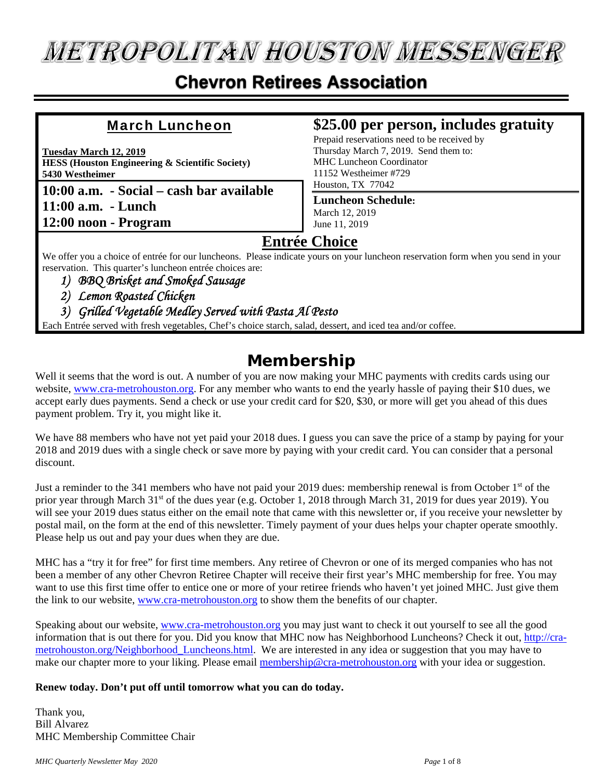# **METROPOLITAN HOUSTON MESSENGER**

## **Chevron Retirees Association**

#### March Luncheon

**Tuesday March 12, 2019 HESS (Houston Engineering & Scientific Society) 5430 Westheimer** 

**10:00 a.m. - Social – cash bar available 11:00 a.m. - Lunch 12:00 noon - Program** 

### **\$25.00 per person, includes gratuity**

Prepaid reservations need to be received by Thursday March 7, 2019. Send them to: MHC Luncheon Coordinator 11152 Westheimer #729 Houston, TX 77042

#### **Luncheon Schedule:** March 12, 2019

June 11, 2019

#### **Entrée Choice**

We offer you a choice of entrée for our luncheons. Please indicate yours on your luncheon reservation form when you send in your reservation. This quarter's luncheon entrée choices are:

- *1) BBQ Brisket and Smoked Sausage*
- *2) Lemon Roasted Chicken*
- *3) Grilled Vegetable Medley Served with Pasta Al Pesto*

Each Entrée served with fresh vegetables, Chef's choice starch, salad, dessert, and iced tea and/or coffee.

## **Membership**

Well it seems that the word is out. A number of you are now making your MHC payments with credits cards using our website, www.cra-metrohouston.org. For any member who wants to end the yearly hassle of paying their \$10 dues, we accept early dues payments. Send a check or use your credit card for \$20, \$30, or more will get you ahead of this dues payment problem. Try it, you might like it.

We have 88 members who have not yet paid your 2018 dues. I guess you can save the price of a stamp by paying for your 2018 and 2019 dues with a single check or save more by paying with your credit card. You can consider that a personal discount.

Just a reminder to the 341 members who have not paid your 2019 dues: membership renewal is from October 1<sup>st</sup> of the prior year through March 31<sup>st</sup> of the dues year (e.g. October 1, 2018 through March 31, 2019 for dues year 2019). You will see your 2019 dues status either on the email note that came with this newsletter or, if you receive your newsletter by postal mail, on the form at the end of this newsletter. Timely payment of your dues helps your chapter operate smoothly. Please help us out and pay your dues when they are due.

MHC has a "try it for free" for first time members. Any retiree of Chevron or one of its merged companies who has not been a member of any other Chevron Retiree Chapter will receive their first year's MHC membership for free. You may want to use this first time offer to entice one or more of your retiree friends who haven't yet joined MHC. Just give them the link to our website, www.cra-metrohouston.org to show them the benefits of our chapter.

Speaking about our website, www.cra-metrohouston.org you may just want to check it out yourself to see all the good information that is out there for you. Did you know that MHC now has Neighborhood Luncheons? Check it out, http://crametrohouston.org/Neighborhood\_Luncheons.html. We are interested in any idea or suggestion that you may have to make our chapter more to your liking. Please email membership@cra-metrohouston.org with your idea or suggestion.

#### **Renew today. Don't put off until tomorrow what you can do today.**

Thank you, Bill Alvarez MHC Membership Committee Chair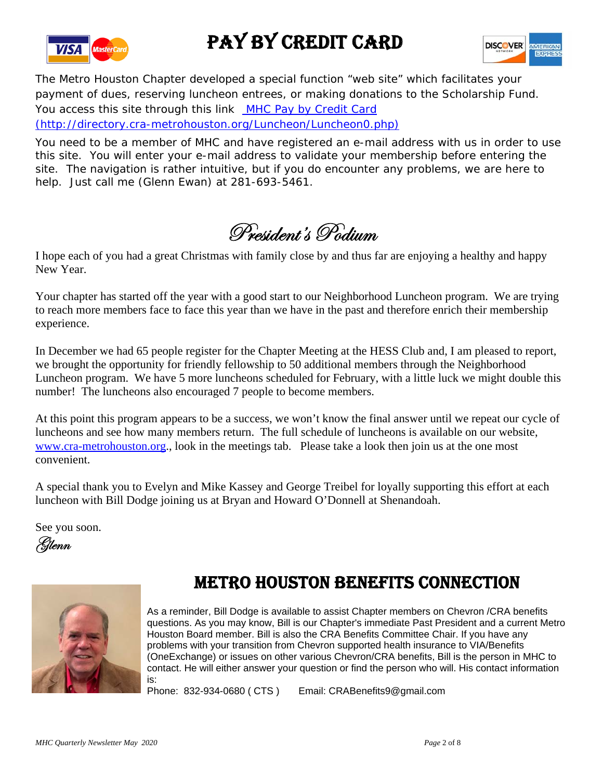

# PAY BY CREDIT CARD



The Metro Houston Chapter developed a special function "web site" which facilitates your payment of dues, reserving luncheon entrees, or making donations to the Scholarship Fund. You access this site through this link MHC Pay by Credit Card (http://directory.cra-metrohouston.org/Luncheon/Luncheon0.php)

You need to be a member of MHC and have registered an e-mail address with us in order to use this site. You will enter your e-mail address to validate your membership before entering the site. The navigation is rather intuitive, but if you do encounter any problems, we are here to help. Just call me (Glenn Ewan) at 281-693-5461.

President's Podium

I hope each of you had a great Christmas with family close by and thus far are enjoying a healthy and happy New Year.

Your chapter has started off the year with a good start to our Neighborhood Luncheon program. We are trying to reach more members face to face this year than we have in the past and therefore enrich their membership experience.

In December we had 65 people register for the Chapter Meeting at the HESS Club and, I am pleased to report, we brought the opportunity for friendly fellowship to 50 additional members through the Neighborhood Luncheon program. We have 5 more luncheons scheduled for February, with a little luck we might double this number! The luncheons also encouraged 7 people to become members.

At this point this program appears to be a success, we won't know the final answer until we repeat our cycle of luncheons and see how many members return. The full schedule of luncheons is available on our website, www.cra-metrohouston.org., look in the meetings tab. Please take a look then join us at the one most convenient.

A special thank you to Evelyn and Mike Kassey and George Treibel for loyally supporting this effort at each luncheon with Bill Dodge joining us at Bryan and Howard O'Donnell at Shenandoah.

See you soon.





## METRO HOUSTON BENEFITS CONNECTION

As a reminder, Bill Dodge is available to assist Chapter members on Chevron /CRA benefits questions. As you may know, Bill is our Chapter's immediate Past President and a current Metro Houston Board member. Bill is also the CRA Benefits Committee Chair. If you have any problems with your transition from Chevron supported health insurance to VIA/Benefits (OneExchange) or issues on other various Chevron/CRA benefits, Bill is the person in MHC to contact. He will either answer your question or find the person who will. His contact information is:

Phone: 832-934-0680 (CTS) Email: CRABenefits9@gmail.com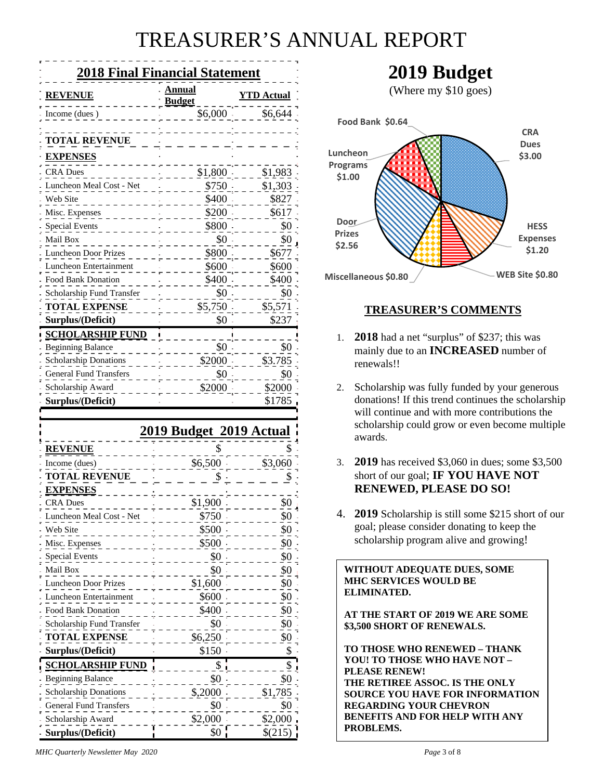# TREASURER'S ANNUAL REPORT

| <b>2018 Final Financial Statement</b> |                         |                   |  |  |
|---------------------------------------|-------------------------|-------------------|--|--|
| <b>REVENUE</b>                        | Annual<br><b>Budget</b> | <b>YTD Actual</b> |  |  |
| Income (dues)                         | $$6,000$ .              | \$6,644           |  |  |
|                                       |                         |                   |  |  |
| <b>TOTAL REVENUE</b>                  |                         |                   |  |  |
| <u>EXPENSES</u>                       |                         |                   |  |  |
| <b>CRA Dues</b>                       | $$1,800$ .              | \$1,983           |  |  |
| Luncheon Meal Cost - Net              | \$750.                  | \$1,303           |  |  |
| Web Site                              | \$400                   | \$827             |  |  |
| Misc. Expenses                        | \$200                   | \$617             |  |  |
| <b>Special Events</b>                 | \$800                   | \$0               |  |  |
| Mail Box                              | \$0                     | \$0               |  |  |
| <b>Luncheon Door Prizes</b>           | \$800.                  | \$677             |  |  |
| Luncheon Entertainment                | \$600                   | \$600             |  |  |
| <b>Food Bank Donation</b>             | \$400.                  | \$400             |  |  |
| Scholarship Fund Transfer             | \$0                     | \$0               |  |  |
| <b>TOTAL EXPENSE</b>                  | \$5,750                 | \$5,571           |  |  |
| Surplus/(Deficit)                     | \$0                     | \$237             |  |  |
| <b>SCHOLARSHIP FUND</b>               |                         |                   |  |  |
| <b>Beginning Balance</b>              | \$0                     | \$0               |  |  |
| <b>Scholarship Donations</b>          | \$2000                  | \$3.785           |  |  |
| <b>General Fund Transfers</b>         | \$0                     | \$0               |  |  |
| Scholarship Award                     | \$2000                  | \$2000            |  |  |
| Surplus/(Deficit)                     |                         | \$1785            |  |  |

|                               | <u>2019 Budget 2019 Actual</u> |         |
|-------------------------------|--------------------------------|---------|
| <u>REVENUE</u>                |                                |         |
| Income (dues)                 | \$6,500                        | \$3,060 |
| <b>TOTAL REVENUE</b>          |                                |         |
| <b>EXPENSES</b>               |                                |         |
| <b>CRA Dues</b>               | \$1,900                        | \$0     |
| Luncheon Meal Cost - Net      | \$750                          | \$0     |
| Web Site                      | \$500                          | \$0     |
| Misc. Expenses                | \$500                          | \$0     |
| <b>Special Events</b>         | \$0                            | \$0     |
| Mail Box                      | \$0                            | \$0     |
| <b>Luncheon Door Prizes</b>   | \$1,600                        | \$0     |
| Luncheon Entertainment        | \$600                          | \$0     |
| <b>Food Bank Donation</b>     | \$400                          | \$0     |
| Scholarship Fund Transfer     | \$0                            | \$0     |
| <b>TOTAL EXPENSE</b>          | \$6,250                        | \$0     |
| Surplus/(Deficit)             | \$150                          | \$      |
| <b>SCHOLARSHIP FUND</b>       | \$                             | \$      |
| <b>Beginning Balance</b>      | \$0                            | \$0     |
| <b>Scholarship Donations</b>  | \$,2000                        | \$1,785 |
| <b>General Fund Transfers</b> | \$0                            | \$0     |
| Scholarship Award             | \$2,000                        | \$2,000 |
| Surplus/(Deficit)             | \$0                            | \$(215) |

## **2019 Budget**

(Where my \$10 goes)



#### **TREASURER'S COMMENTS**

- 1. **2018** had a net "surplus" of \$237; this was mainly due to an **INCREASED** number of renewals!!
- 2. Scholarship was fully funded by your generous donations! If this trend continues the scholarship will continue and with more contributions the scholarship could grow or even become multiple awards.
- 3. **2019** has received \$3,060 in dues; some \$3,500 short of our goal; **IF YOU HAVE NOT RENEWED, PLEASE DO SO!**
- 4. **2019** Scholarship is still some \$215 short of our goal; please consider donating to keep the scholarship program alive and growing!

#### **WITHOUT ADEQUATE DUES, SOME MHC SERVICES WOULD BE ELIMINATED.**

#### ĺ **AT THE START OF 2019 WE ARE SOME \$3,500 SHORT OF RENEWALS.**

**TO THOSE WHO RENEWED – THANK YOU! TO THOSE WHO HAVE NOT – PLEASE RENEW! THE RETIREE ASSOC. IS THE ONLY SOURCE YOU HAVE FOR INFORMATION REGARDING YOUR CHEVRON BENEFITS AND FOR HELP WITH ANY PROBLEMS.** 

*MHC Quarterly Newsletter May 2020 Page* 3 of 8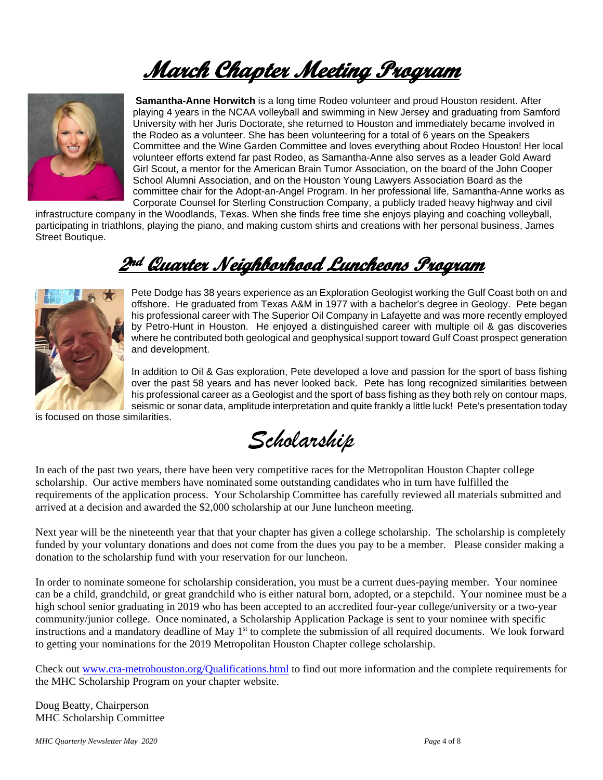# **March Chapter Meeting Program**



**Samantha-Anne Horwitch** is a long time Rodeo volunteer and proud Houston resident. After playing 4 years in the NCAA volleyball and swimming in New Jersey and graduating from Samford University with her Juris Doctorate, she returned to Houston and immediately became involved in the Rodeo as a volunteer. She has been volunteering for a total of 6 years on the Speakers Committee and the Wine Garden Committee and loves everything about Rodeo Houston! Her local volunteer efforts extend far past Rodeo, as Samantha-Anne also serves as a leader Gold Award Girl Scout, a mentor for the American Brain Tumor Association, on the board of the John Cooper School Alumni Association, and on the Houston Young Lawyers Association Board as the committee chair for the Adopt-an-Angel Program. In her professional life, Samantha-Anne works as Corporate Counsel for Sterling Construction Company, a publicly traded heavy highway and civil

infrastructure company in the Woodlands, Texas. When she finds free time she enjoys playing and coaching volleyball, participating in triathlons, playing the piano, and making custom shirts and creations with her personal business, James Street Boutique.

# **2nd Quarter Neighborhood Luncheons Program**



Pete Dodge has 38 years experience as an Exploration Geologist working the Gulf Coast both on and offshore. He graduated from Texas A&M in 1977 with a bachelor's degree in Geology. Pete began his professional career with The Superior Oil Company in Lafayette and was more recently employed by Petro-Hunt in Houston. He enjoyed a distinguished career with multiple oil & gas discoveries where he contributed both geological and geophysical support toward Gulf Coast prospect generation and development.

In addition to Oil & Gas exploration, Pete developed a love and passion for the sport of bass fishing over the past 58 years and has never looked back. Pete has long recognized similarities between his professional career as a Geologist and the sport of bass fishing as they both rely on contour maps, seismic or sonar data, amplitude interpretation and quite frankly a little luck! Pete's presentation today

is focused on those similarities.

*Scholarship*

In each of the past two years, there have been very competitive races for the Metropolitan Houston Chapter college scholarship. Our active members have nominated some outstanding candidates who in turn have fulfilled the requirements of the application process. Your Scholarship Committee has carefully reviewed all materials submitted and arrived at a decision and awarded the \$2,000 scholarship at our June luncheon meeting.

Next year will be the nineteenth year that that your chapter has given a college scholarship. The scholarship is completely funded by your voluntary donations and does not come from the dues you pay to be a member. Please consider making a donation to the scholarship fund with your reservation for our luncheon.

In order to nominate someone for scholarship consideration, you must be a current dues-paying member. Your nominee can be a child, grandchild, or great grandchild who is either natural born, adopted, or a stepchild. Your nominee must be a high school senior graduating in 2019 who has been accepted to an accredited four-year college/university or a two-year community/junior college. Once nominated, a Scholarship Application Package is sent to your nominee with specific instructions and a mandatory deadline of May  $1<sup>st</sup>$  to complete the submission of all required documents. We look forward to getting your nominations for the 2019 Metropolitan Houston Chapter college scholarship.

Check out www.cra-metrohouston.org/Qualifications.html to find out more information and the complete requirements for the MHC Scholarship Program on your chapter website.

Doug Beatty, Chairperson MHC Scholarship Committee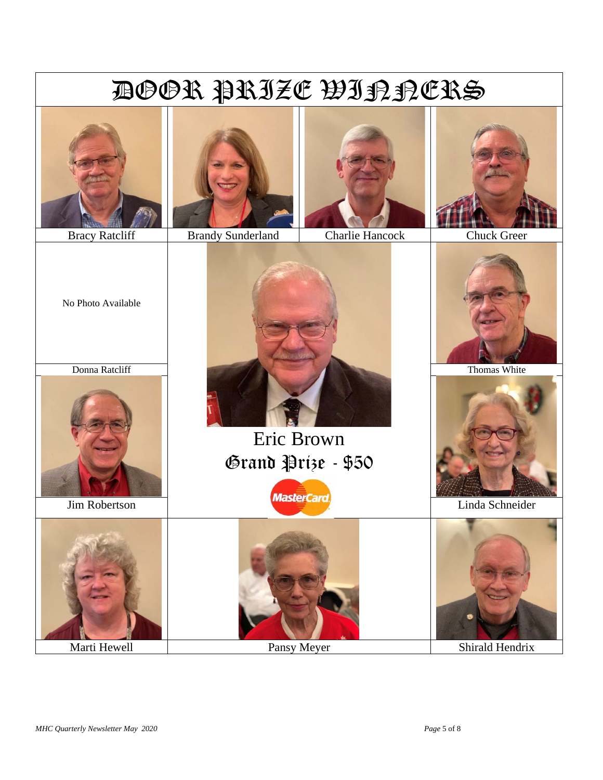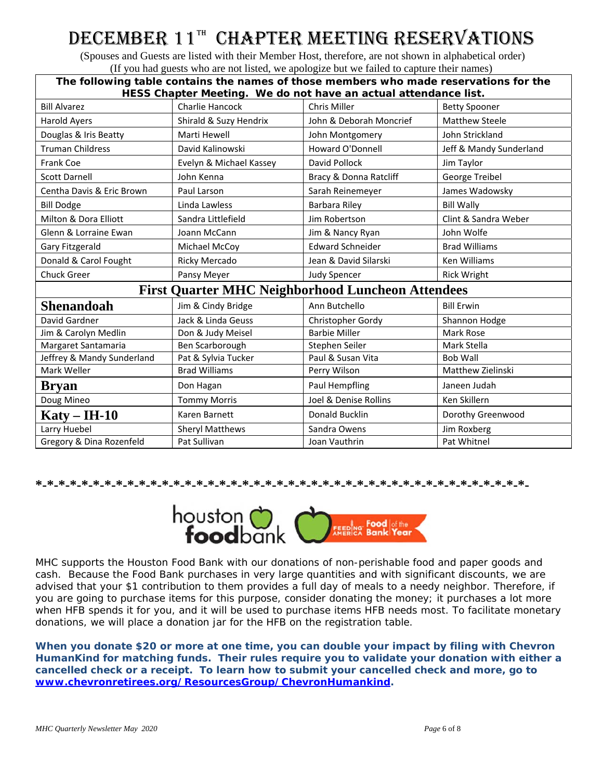# DECEMBER 11TH CHAPTER MEETING RESERVATIONS

 (Spouses and Guests are listed with their Member Host, therefore, are not shown in alphabetical order) (If you had guests who are not listed, we apologize but we failed to capture their names)

| The following table contains the names of those members who made reservations for the<br>HESS Chapter Meeting. We do not have an actual attendance list. |                         |                                                          |                         |  |
|----------------------------------------------------------------------------------------------------------------------------------------------------------|-------------------------|----------------------------------------------------------|-------------------------|--|
| <b>Bill Alvarez</b>                                                                                                                                      | Charlie Hancock         | Chris Miller                                             | <b>Betty Spooner</b>    |  |
| <b>Harold Ayers</b>                                                                                                                                      | Shirald & Suzy Hendrix  | John & Deborah Moncrief                                  | <b>Matthew Steele</b>   |  |
| Douglas & Iris Beatty                                                                                                                                    | Marti Hewell            | John Montgomery                                          | John Strickland         |  |
| <b>Truman Childress</b>                                                                                                                                  | David Kalinowski        | Howard O'Donnell                                         | Jeff & Mandy Sunderland |  |
| <b>Frank Coe</b>                                                                                                                                         | Evelyn & Michael Kassey | David Pollock                                            | Jim Taylor              |  |
| <b>Scott Darnell</b>                                                                                                                                     | John Kenna              | Bracy & Donna Ratcliff                                   | George Treibel          |  |
| Centha Davis & Eric Brown                                                                                                                                | Paul Larson             | Sarah Reinemeyer                                         | James Wadowsky          |  |
| <b>Bill Dodge</b>                                                                                                                                        | Linda Lawless           | Barbara Riley                                            | <b>Bill Wally</b>       |  |
| Milton & Dora Elliott                                                                                                                                    | Sandra Littlefield      | Jim Robertson                                            | Clint & Sandra Weber    |  |
| Glenn & Lorraine Ewan                                                                                                                                    | Joann McCann            | Jim & Nancy Ryan                                         | John Wolfe              |  |
| Gary Fitzgerald                                                                                                                                          | Michael McCoy           | <b>Edward Schneider</b>                                  | <b>Brad Williams</b>    |  |
| Donald & Carol Fought                                                                                                                                    | Ricky Mercado           | Jean & David Silarski                                    | <b>Ken Williams</b>     |  |
| <b>Chuck Greer</b>                                                                                                                                       | Pansy Meyer             | <b>Judy Spencer</b>                                      | <b>Rick Wright</b>      |  |
|                                                                                                                                                          |                         | <b>First Quarter MHC Neighborhood Luncheon Attendees</b> |                         |  |
| <b>Shenandoah</b>                                                                                                                                        | Jim & Cindy Bridge      | Ann Butchello                                            | <b>Bill Erwin</b>       |  |
| David Gardner                                                                                                                                            | Jack & Linda Geuss      | Christopher Gordy                                        | Shannon Hodge           |  |
| Jim & Carolyn Medlin                                                                                                                                     | Don & Judy Meisel       | <b>Barbie Miller</b>                                     | Mark Rose               |  |
| Margaret Santamaria                                                                                                                                      | Ben Scarborough         | Stephen Seiler                                           | Mark Stella             |  |
| Jeffrey & Mandy Sunderland                                                                                                                               | Pat & Sylvia Tucker     | Paul & Susan Vita                                        | <b>Bob Wall</b>         |  |
| Mark Weller                                                                                                                                              | <b>Brad Williams</b>    | Perry Wilson                                             | Matthew Zielinski       |  |
| <b>Bryan</b>                                                                                                                                             | Don Hagan               | Paul Hempfling                                           | Janeen Judah            |  |
| Doug Mineo                                                                                                                                               | <b>Tommy Morris</b>     | Joel & Denise Rollins                                    | Ken Skillern            |  |
| $\text{Katy} - \text{IH-10}$                                                                                                                             | Karen Barnett           | Donald Bucklin                                           | Dorothy Greenwood       |  |
| Larry Huebel                                                                                                                                             | <b>Sheryl Matthews</b>  | Sandra Owens                                             | Jim Roxberg             |  |
| Gregory & Dina Rozenfeld                                                                                                                                 | Pat Sullivan            | Joan Vauthrin                                            | Pat Whitnel             |  |

**\*-\*-\*-\*-\*-\*-\*-\*-\*-\*-\*-\*-\*-\*-\*-\*-\*-\*-\*-\*-\*-\*-\*-\*-\*-\*-\*-\*-\*-\*-\*-\*-\*-\*-\*-\*-\*-\*-\*-\*-\*-\*-\*-**



MHC supports the Houston Food Bank with our donations of non-perishable food and paper goods and cash. Because the Food Bank purchases in very large quantities and with significant discounts, we are advised that your \$1 contribution to them provides a full day of meals to a needy neighbor. Therefore, if you are going to purchase items for this purpose, consider donating the money; it purchases a lot more when HFB spends it for you, and it will be used to purchase items HFB needs most. To facilitate monetary donations, we will place a donation jar for the HFB on the registration table.

**When you donate \$20 or more at one time, you can double your impact by filing with Chevron HumanKind for matching funds. Their rules require you to validate your donation with either a cancelled check or a receipt. To learn how to submit your cancelled check and more, go to www.chevronretirees.org/ResourcesGroup/ChevronHumankind.**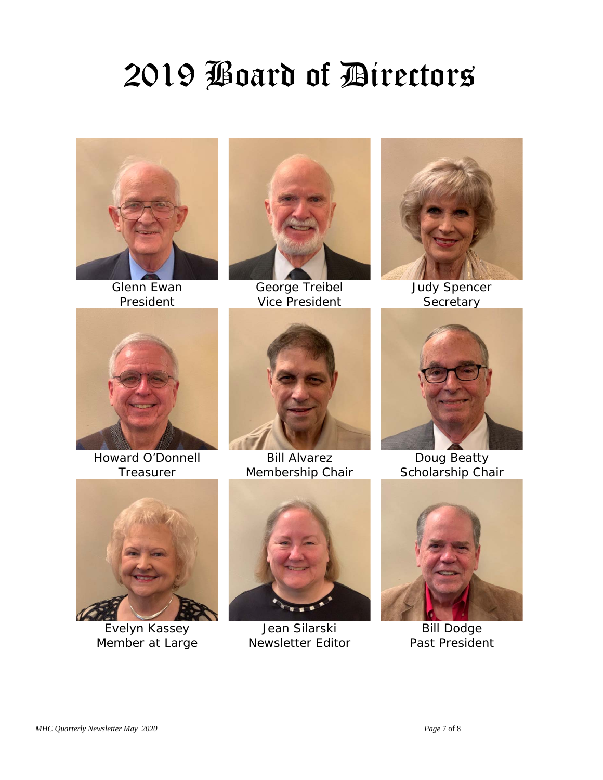# 2019 Board of Directors



Glenn Ewan President

 $\overline{\phantom{a}}$ 

 $\overline{\phantom{a}}$ 



George Treibel Vice President



Judy Spencer **Secretary** 



Howard O'Donnell **Treasurer** 



Bill Alvarez Membership Chair



Doug Beatty Scholarship Chair



Evelyn Kassey Member at Large



Jean Silarski Newsletter Editor



Bill Dodge Past President